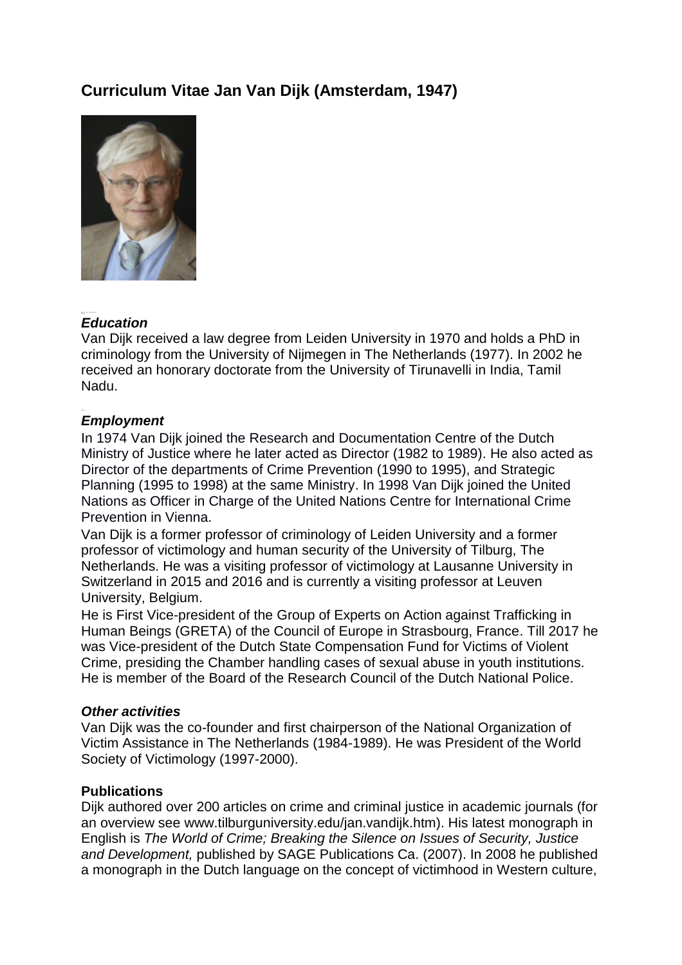# **Curriculum Vitae Jan Van Dijk (Amsterdam, 1947)**



# Educati *Education*

Van Dijk received a law degree from Leiden University in 1970 and holds a PhD in criminology from the University of Nijmegen in The Netherlands (1977). In 2002 he received an honorary doctorate from the University of Tirunavelli in India, Tamil Nadu.

## *Employment*

In 1974 Van Dijk joined the Research and Documentation Centre of the Dutch Ministry of Justice where he later acted as Director (1982 to 1989). He also acted as Director of the departments of Crime Prevention (1990 to 1995), and Strategic Planning (1995 to 1998) at the same Ministry. In 1998 Van Dijk joined the United Nations as Officer in Charge of the United Nations Centre for International Crime Prevention in Vienna.

Van Dijk is a former professor of criminology of Leiden University and a former professor of victimology and human security of the University of Tilburg, The Netherlands. He was a visiting professor of victimology at Lausanne University in Switzerland in 2015 and 2016 and is currently a visiting professor at Leuven University, Belgium.

He is First Vice-president of the Group of Experts on Action against Trafficking in Human Beings (GRETA) of the Council of Europe in Strasbourg, France. Till 2017 he was Vice-president of the Dutch State Compensation Fund for Victims of Violent Crime, presiding the Chamber handling cases of sexual abuse in youth institutions. He is member of the Board of the Research Council of the Dutch National Police.

#### *Other activities*

Van Dijk was the co-founder and first chairperson of the National Organization of Victim Assistance in The Netherlands (1984-1989). He was President of the World Society of Victimology (1997-2000).

#### **Publications**

Dijk authored over 200 articles on crime and criminal justice in academic journals (for an overview see [www.tilburguniversity.edu/jan.vandijk.htm\)](http://www.tilburguniversity.edu/jan.vandijk.htm). His latest monograph in English is *The World of Crime; Breaking the Silence on Issues of Security, Justice and Development,* published by SAGE Publications Ca. (2007). In 2008 he published a monograph in the Dutch language on the concept of victimhood in Western culture,